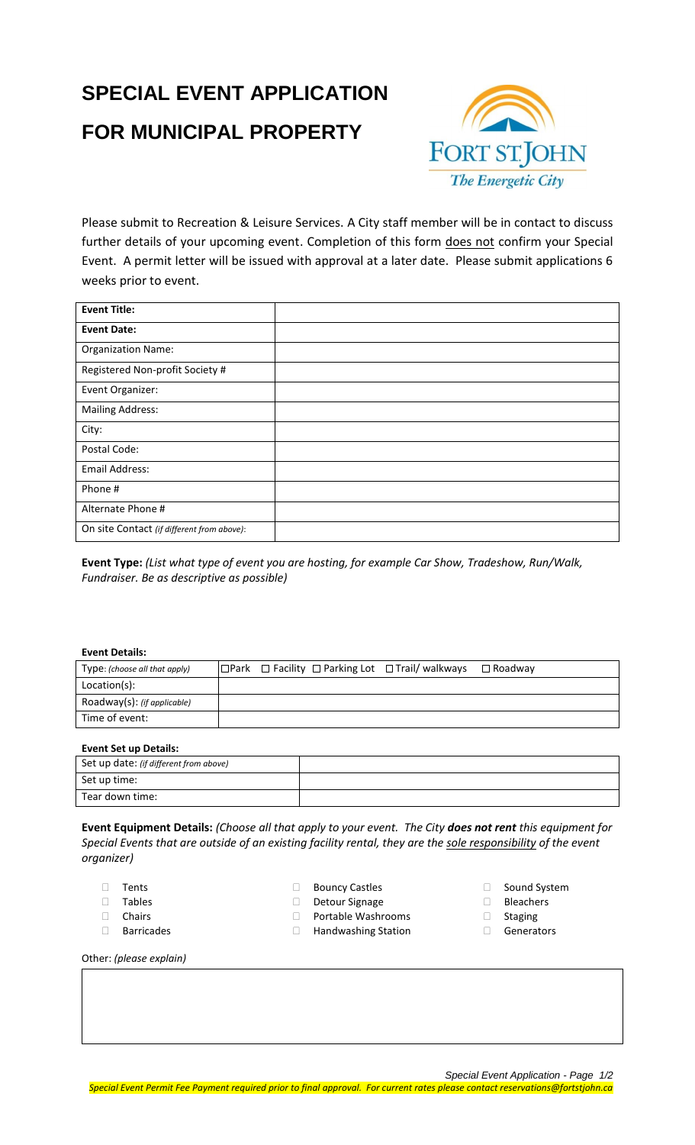# **SPECIAL EVENT APPLICATION FOR MUNICIPAL PROPERTY**



Please submit to Recreation & Leisure Services. A City staff member will be in contact to discuss further details of your upcoming event. Completion of this form does not confirm your Special Event. A permit letter will be issued with approval at a later date. Please submit applications 6 weeks prior to event.

| <b>Event Title:</b>                        |  |
|--------------------------------------------|--|
| <b>Event Date:</b>                         |  |
| <b>Organization Name:</b>                  |  |
| Registered Non-profit Society #            |  |
| Event Organizer:                           |  |
| <b>Mailing Address:</b>                    |  |
| City:                                      |  |
| Postal Code:                               |  |
| Email Address:                             |  |
| Phone #                                    |  |
| Alternate Phone #                          |  |
| On site Contact (if different from above): |  |

**Event Type:** *(List what type of event you are hosting, for example Car Show, Tradeshow, Run/Walk, Fundraiser. Be as descriptive as possible)*

## **Event Details:**

| Type: (choose all that apply) |  | $\Box$ Park $\Box$ Facility $\Box$ Parking Lot $\Box$ Trail/ walkways | $\Box$ Roadwav |
|-------------------------------|--|-----------------------------------------------------------------------|----------------|
| Location(s):                  |  |                                                                       |                |
| Roadway(s): (if applicable)   |  |                                                                       |                |
| Time of event:                |  |                                                                       |                |

## **Event Set up Details:**

| <b>LACIII SET AN DETAIIS'</b>          |  |
|----------------------------------------|--|
| Set up date: (if different from above) |  |
| Set up time:                           |  |
| Tear down time:                        |  |

**Event Equipment Details:** *(Choose all that apply to your event. The City does not rent this equipment for Special Events that are outside of an existing facility rental, they are the sole responsibility of the event organizer)*

- Tents
- Tables
- Chairs
- Barricades
- □ Bouncy Castles
- Detour Signage
- Portable Washrooms
- □ Handwashing Station
- □ Sound System
- Bleachers
- Staging
- Generators

Other: *(please explain)*

*Special Event Application - Page 1/2*

*Special Event Permit Fee Payment required prior to final approval. For current rates please contact reservations@fortstjohn.ca*